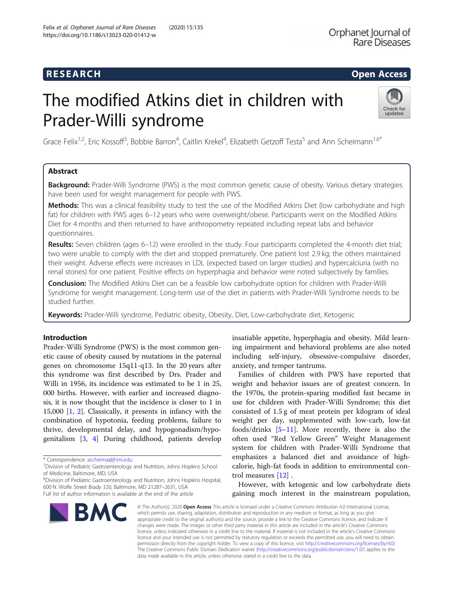## R E S EAR CH Open Access

# The modified Atkins diet in children with Prader-Willi syndrome



Grace Felix<sup>1,2</sup>, Eric Kossoff<sup>3</sup>, Bobbie Barron<sup>4</sup>, Caitlin Krekel<sup>4</sup>, Elizabeth Getzoff Testa<sup>5</sup> and Ann Scheimann<sup>1,6\*</sup>

## Abstract

Background: Prader-Willi Syndrome (PWS) is the most common genetic cause of obesity. Various dietary strategies have been used for weight management for people with PWS.

Methods: This was a clinical feasibility study to test the use of the Modified Atkins Diet (low carbohydrate and high fat) for children with PWS ages 6–12 years who were overweight/obese. Participants went on the Modified Atkins Diet for 4 months and then returned to have anthropometry repeated including repeat labs and behavior questionnaires.

Results: Seven children (ages 6–12) were enrolled in the study. Four participants completed the 4-month diet trial; two were unable to comply with the diet and stopped prematurely. One patient lost 2.9 kg; the others maintained their weight. Adverse effects were increases in LDL (expected based on larger studies) and hypercalciuria (with no renal stones) for one patient. Positive effects on hyperphagia and behavior were noted subjectively by families.

Conclusion: The Modified Atkins Diet can be a feasible low carbohydrate option for children with Prader-Willi Syndrome for weight management. Long-term use of the diet in patients with Prader-Willi Syndrome needs to be studied further.

Keywords: Prader-Willi syndrome, Pediatric obesity, Obesity, Diet, Low-carbohydrate diet, Ketogenic

## Introduction

Prader-Willi Syndrome (PWS) is the most common genetic cause of obesity caused by mutations in the paternal genes on chromosome 15q11-q13. In the 20 years after this syndrome was first described by Drs. Prader and Willi in 1956, its incidence was estimated to be 1 in 25, 000 births. However, with earlier and increased diagnosis, it is now thought that the incidence is closer to 1 in 15,000 [\[1](#page-4-0), [2](#page-4-0)]. Classically, it presents in infancy with the combination of hypotonia, feeding problems, failure to thrive, developmental delay, and hypogonadism/hypogenitalism [[3,](#page-4-0) [4](#page-4-0)] During childhood, patients develop

<sup>1</sup> Division of Pediatric Gastroenterology and Nutrition, Johns Hopkins School of Medicine, Baltimore, MD, USA

6 Division of Pediatric Gastroenterology and Nutrition, Johns Hopkins Hospital, 600 N. Wolfe Street Brady 320, Baltimore, MD 21287–2631, USA Full list of author information is available at the end of the article

insatiable appetite, hyperphagia and obesity. Mild learning impairment and behavioral problems are also noted including self-injury, obsessive-compulsive disorder, anxiety, and temper tantrums.

Families of children with PWS have reported that weight and behavior issues are of greatest concern. In the 1970s, the protein-sparing modified fast became in use for children with Prader-Willi Syndrome; this diet consisted of 1.5 g of meat protein per kilogram of ideal weight per day, supplemented with low-carb, low-fat foods/drinks [[5](#page-4-0)–[11\]](#page-4-0). More recently, there is also the often used "Red Yellow Green" Weight Management system for children with Prader-Willi Syndrome that emphasizes a balanced diet and avoidance of highcalorie, high-fat foods in addition to environmental control measures [\[12](#page-4-0)] .

However, with ketogenic and low carbohydrate diets gaining much interest in the mainstream population,

© The Author(s), 2020 **Open Access** This article is licensed under a Creative Commons Attribution 4.0 International License, which permits use, sharing, adaptation, distribution and reproduction in any medium or format, as long as you give appropriate credit to the original author(s) and the source, provide a link to the Creative Commons licence, and indicate if changes were made. The images or other third party material in this article are included in the article's Creative Commons licence, unless indicated otherwise in a credit line to the material. If material is not included in the article's Creative Commons licence and your intended use is not permitted by statutory regulation or exceeds the permitted use, you will need to obtain permission directly from the copyright holder. To view a copy of this licence, visit [http://creativecommons.org/licenses/by/4.0/.](http://creativecommons.org/licenses/by/4.0/) The Creative Commons Public Domain Dedication waiver [\(http://creativecommons.org/publicdomain/zero/1.0/](http://creativecommons.org/publicdomain/zero/1.0/)) applies to the data made available in this article, unless otherwise stated in a credit line to the data.

<sup>\*</sup> Correspondence: [ascheima@jhmi.edu](mailto:ascheima@jhmi.edu) <sup>1</sup>

BMC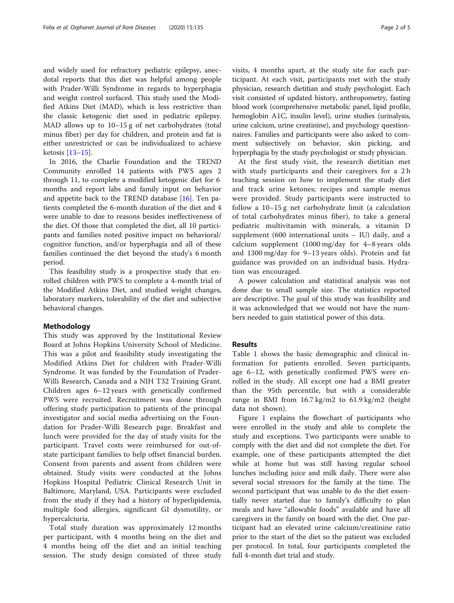and widely used for refractory pediatric epilepsy, anecdotal reports that this diet was helpful among people with Prader-Willi Syndrome in regards to hyperphagia and weight control surfaced. This study used the Modified Atkins Diet (MAD), which is less restrictive than the classic ketogenic diet used in pediatric epilepsy. MAD allows up to 10–15 g of net carbohydrates (total minus fiber) per day for children, and protein and fat is either unrestricted or can be individualized to achieve ketosis [[13](#page-4-0)–[15](#page-4-0)].

In 2016, the Charlie Foundation and the TREND Community enrolled 14 patients with PWS ages 2 through 11, to complete a modified ketogenic diet for 6 months and report labs and family input on behavior and appetite back to the TREND database [[16\]](#page-4-0). Ten patients completed the 6-month duration of the diet and 4 were unable to due to reasons besides ineffectiveness of the diet. Of those that completed the diet, all 10 participants and families noted positive impact on behavioral/ cognitive function, and/or hyperphagia and all of these families continued the diet beyond the study's 6 month period.

This feasibility study is a prospective study that enrolled children with PWS to complete a 4-month trial of the Modified Atkins Diet, and studied weight changes, laboratory markers, tolerability of the diet and subjective behavioral changes.

#### Methodology

This study was approved by the Institutional Review Board at Johns Hopkins University School of Medicine. This was a pilot and feasibility study investigating the Modified Atkins Diet for children with Prader-Willi Syndrome. It was funded by the Foundation of Prader-Willi Research, Canada and a NIH T32 Training Grant. Children ages 6–12 years with genetically confirmed PWS were recruited. Recruitment was done through offering study participation to patients of the principal investigator and social media advertising on the Foundation for Prader-Willi Research page. Breakfast and lunch were provided for the day of study visits for the participant. Travel costs were reimbursed for out-ofstate participant families to help offset financial burden. Consent from parents and assent from children were obtained. Study visits were conducted at the Johns Hopkins Hospital Pediatric Clinical Research Unit in Baltimore, Maryland, USA. Participants were excluded from the study if they had a history of hyperlipidemia, multiple food allergies, significant GI dysmotility, or hypercalciuria.

Total study duration was approximately 12 months per participant, with 4 months being on the diet and 4 months being off the diet and an initial teaching session. The study design consisted of three study visits, 4 months apart, at the study site for each participant. At each visit, participants met with the study physician, research dietitian and study psychologist. Each visit consisted of updated history, anthropometry, fasting blood work (comprehensive metabolic panel, lipid profile, hemoglobin A1C, insulin level), urine studies (urinalysis, urine calcium, urine creatinine), and psychology questionnaires. Families and participants were also asked to comment subjectively on behavior, skin picking, and hyperphagia by the study psychologist or study physician.

At the first study visit, the research dietitian met with study participants and their caregivers for a 2 h teaching session on how to implement the study diet and track urine ketones; recipes and sample menus were provided. Study participants were instructed to follow a 10–15 g net carbohydrate limit (a calculation of total carbohydrates minus fiber), to take a general pediatric multivitamin with minerals, a vitamin D supplement (600 international units – IU) daily, and a calcium supplement (1000 mg/day for 4–8 years olds and 1300 mg/day for 9–13 years olds). Protein and fat guidance was provided on an individual basis. Hydration was encouraged.

A power calculation and statistical analysis was not done due to small sample size. The statistics reported are descriptive. The goal of this study was feasibility and it was acknowledged that we would not have the numbers needed to gain statistical power of this data.

## Results

Table [1](#page-2-0) shows the basic demographic and clinical information for patients enrolled. Seven participants, age 6–12, with genetically confirmed PWS were enrolled in the study. All except one had a BMI greater than the 95th percentile, but with a considerable range in BMI from 16.7 kg/m2 to 61.9 kg/m2 (height data not shown).

Figure [1](#page-2-0) explains the flowchart of participants who were enrolled in the study and able to complete the study and exceptions. Two participants were unable to comply with the diet and did not complete the diet. For example, one of these participants attempted the diet while at home but was still having regular school lunches including juice and milk daily. There were also several social stressors for the family at the time. The second participant that was unable to do the diet essentially never started due to family's difficulty to plan meals and have "allowable foods" available and have all caregivers in the family on board with the diet. One participant had an elevated urine calcium/creatinine ratio prior to the start of the diet so the patient was excluded per protocol. In total, four participants completed the full 4-month diet trial and study.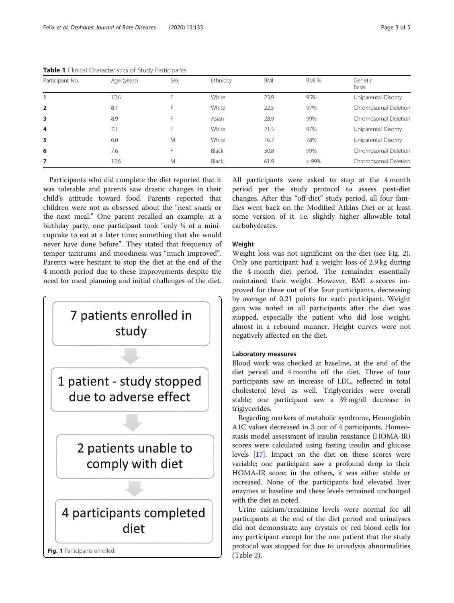| Participant No. | Age (years) | Sex | Ethnicity    | <b>BMI</b> | BMI %   | Genetic<br>Basis     |
|-----------------|-------------|-----|--------------|------------|---------|----------------------|
|                 | 12.6        | ⊢   | White        | 23.9       | 95%     | Uniparental Disomy   |
| $\overline{2}$  | 8.1         | F   | White        | 22.5       | 97%     | Chromosomal Deletion |
| 3               | 8.9         | F   | Asian        | 28.9       | 99%     | Chromosomal Deletion |
| $\overline{4}$  | 7.1         | F   | White        | 21.5       | 97%     | Uniparental Disomy   |
| 5               | 6.0         | M   | White        | 16.7       | 78%     | Uniparental Disomy   |
| 6               | 7.6         | F   | <b>Black</b> | 30.8       | 99%     | Chromosomal Deletion |
| 7               | 12.6        | M   | <b>Black</b> | 61.9       | $>99\%$ | Chromosomal Deletion |

<span id="page-2-0"></span>Table 1 Clinical Characteristics of Study Participants

Participants who did complete the diet reported that it was tolerable and parents saw drastic changes in their child's attitude toward food. Parents reported that children were not as obsessed about the "next snack or the next meal." One parent recalled an example: at a birthday party, one participant took "only ¼ of a minicupcake to eat at a later time; something that she would never have done before". They stated that frequency of temper tantrums and moodiness was "much improved". Parents were hesitant to stop the diet at the end of the 4-month period due to these improvements despite the need for meal planning and initial challenges of the diet.



All participants were asked to stop at the 4 month period per the study protocol to assess post-diet changes. After this "off-diet" study period, all four families went back on the Modified Atkins Diet or at least some version of it, i.e. slightly higher allowable total carbohydrates.

## Weight

Weight loss was not significant on the diet (see Fig. [2](#page-3-0)). Only one participant had a weight loss of 2.9 kg during the 4-month diet period. The remainder essentially maintained their weight. However, BMI z-scores improved for three out of the four participants, decreasing by average of 0.21 points for each participant. Weight gain was noted in all participants after the diet was stopped, especially the patient who did lose weight, almost in a rebound manner. Height curves were not negatively affected on the diet.

#### Laboratory measures

Blood work was checked at baseline, at the end of the diet period and 4 months off the diet. Three of four participants saw an increase of LDL, reflected in total cholesterol level as well. Triglycerides were overall stable; one participant saw a 39 mg/dl decrease in triglycerides.

Regarding markers of metabolic syndrome, Hemoglobin A1C values decreased in 3 out of 4 participants. Homeostasis model assessment of insulin resistance (HOMA-IR) scores were calculated using fasting insulin and glucose levels [\[17](#page-4-0)]. Impact on the diet on these scores were variable; one participant saw a profound drop in their HOMA-IR score; in the others, it was either stable or increased. None of the participants had elevated liver enzymes at baseline and these levels remained unchanged with the diet as noted.

Urine calcium/creatinine levels were normal for all participants at the end of the diet period and urinalyses did not demonstrate any crystals or red blood cells for any participant except for the one patient that the study protocol was stopped for due to urinalysis abnormalities (Table [2\)](#page-3-0).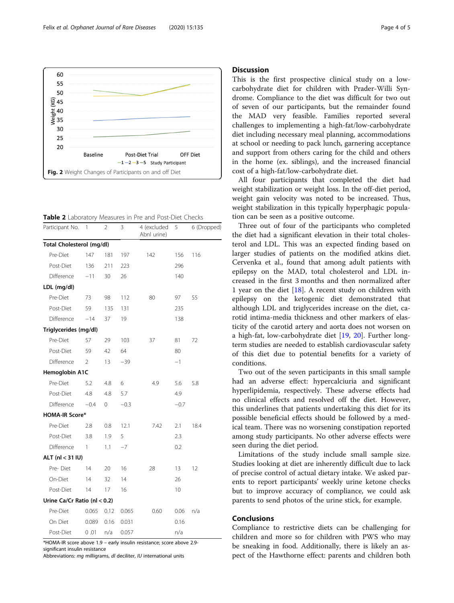<span id="page-3-0"></span>

Table 2 Laboratory Measures in Pre and Post-Diet Checks

| Participant No.                 | 1              | $\overline{2}$ | 3      | 4 (excluded<br>Abnl urine) | 5      | 6 (Dropped) |
|---------------------------------|----------------|----------------|--------|----------------------------|--------|-------------|
| Total Cholesterol (mg/dl)       |                |                |        |                            |        |             |
| Pre-Diet                        | 147            | 181            | 197    | 142                        | 156    | 116         |
| Post-Diet                       | 136            | 211            | 223    |                            | 296    |             |
| Difference                      | $-11$          | 30             | 26     |                            | 140    |             |
| LDL (mg/dl)                     |                |                |        |                            |        |             |
| Pre-Diet                        | 73             | 98             | 112    | 80                         | 97     | 55          |
| Post-Diet                       | 59             | 135            | 131    |                            | 235    |             |
| Difference                      | $-14$          | 37             | 19     |                            | 138    |             |
| Triglycerides (mg/dl)           |                |                |        |                            |        |             |
| Pre-Diet                        | 57             | 29             | 103    | 37                         | 81     | 72          |
| Post-Diet                       | 59             | 42             | 64     |                            | 80     |             |
| Difference                      | $\mathfrak{D}$ | 13             | $-39$  |                            | $-1$   |             |
| Hemoglobin A1C                  |                |                |        |                            |        |             |
| Pre-Diet                        | 5.2            | 4.8            | 6      | 4.9                        | 5.6    | 5.8         |
| Post-Diet                       | 4.8            | 4.8            | 5.7    |                            | 4.9    |             |
| Difference                      | $-0.4$         | 0              | $-0.3$ |                            | $-0.7$ |             |
| <b>HOMA-IR Score*</b>           |                |                |        |                            |        |             |
| Pre-Diet                        | 2.8            | 0.8            | 12.1   | 7.42                       | 2.1    | 18.4        |
| Post-Diet                       | 3.8            | 1.9            | 5      |                            | 2.3    |             |
| Difference                      | 1              | 1.1            | $-7$   |                            | 0.2    |             |
| ALT (nl < 31 IU)                |                |                |        |                            |        |             |
| Pre-Diet                        | 14             | 20             | 16     | 28                         | 13     | 12          |
| On-Diet                         | 14             | 32             | 14     |                            | 26     |             |
| Post-Diet                       | 14             | 17             | 16     |                            | 10     |             |
| Urine Ca/Cr Ratio (nl $< 0.2$ ) |                |                |        |                            |        |             |
| Pre-Diet                        | 0.065          | 0.12           | 0.065  | 0.60                       | 0.06   | n/a         |
| On Diet                         | 0.089          | 0.16           | 0.031  |                            | 0.16   |             |
| Post-Diet                       | 0.01           | n/a            | 0.057  |                            | n/a    |             |

\*HOMA-IR score above 1.9 – early insulin resistance; score above 2.9 significant insulin resistance

Abbreviations: mg milligrams, dl deciliter, IU international units

#### **Discussion**

This is the first prospective clinical study on a lowcarbohydrate diet for children with Prader-Willi Syndrome. Compliance to the diet was difficult for two out of seven of our participants, but the remainder found the MAD very feasible. Families reported several challenges to implementing a high-fat/low-carbohydrate diet including necessary meal planning, accommodations at school or needing to pack lunch, garnering acceptance and support from others caring for the child and others in the home (ex. siblings), and the increased financial cost of a high-fat/low-carbohydrate diet.

All four participants that completed the diet had weight stabilization or weight loss. In the off-diet period, weight gain velocity was noted to be increased. Thus, weight stabilization in this typically hyperphagic population can be seen as a positive outcome.

Three out of four of the participants who completed the diet had a significant elevation in their total cholesterol and LDL. This was an expected finding based on larger studies of patients on the modified atkins diet. Cervenka et al., found that among adult patients with epilepsy on the MAD, total cholesterol and LDL increased in the first 3 months and then normalized after 1 year on the diet  $[18]$ . A recent study on children with epilepsy on the ketogenic diet demonstrated that although LDL and triglycerides increase on the diet, carotid intima-media thickness and other markers of elasticity of the carotid artery and aorta does not worsen on a high-fat, low-carbohydrate diet [\[19,](#page-4-0) [20\]](#page-4-0). Further longterm studies are needed to establish cardiovascular safety of this diet due to potential benefits for a variety of conditions.

Two out of the seven participants in this small sample had an adverse effect: hypercalciuria and significant hyperlipidemia, respectively. These adverse effects had no clinical effects and resolved off the diet. However, this underlines that patients undertaking this diet for its possible beneficial effects should be followed by a medical team. There was no worsening constipation reported among study participants. No other adverse effects were seen during the diet period.

Limitations of the study include small sample size. Studies looking at diet are inherently difficult due to lack of precise control of actual dietary intake. We asked parents to report participants' weekly urine ketone checks but to improve accuracy of compliance, we could ask parents to send photos of the urine stick, for example.

### Conclusions

Compliance to restrictive diets can be challenging for children and more so for children with PWS who may be sneaking in food. Additionally, there is likely an aspect of the Hawthorne effect: parents and children both